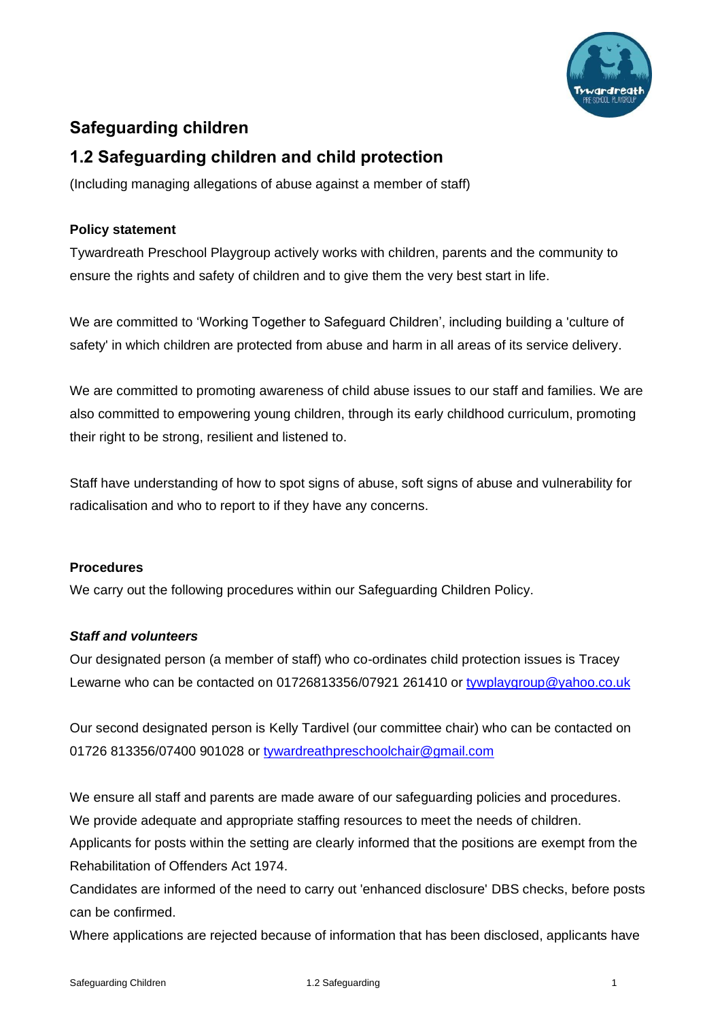

# **Safeguarding children**

# **1.2 Safeguarding children and child protection**

(Including managing allegations of abuse against a member of staff)

# **Policy statement**

Tywardreath Preschool Playgroup actively works with children, parents and the community to ensure the rights and safety of children and to give them the very best start in life.

We are committed to 'Working Together to Safeguard Children', including building a 'culture of safety' in which children are protected from abuse and harm in all areas of its service delivery.

We are committed to promoting awareness of child abuse issues to our staff and families. We are also committed to empowering young children, through its early childhood curriculum, promoting their right to be strong, resilient and listened to.

Staff have understanding of how to spot signs of abuse, soft signs of abuse and vulnerability for radicalisation and who to report to if they have any concerns.

# **Procedures**

We carry out the following procedures within our Safeguarding Children Policy.

# *Staff and volunteers*

Our designated person (a member of staff) who co-ordinates child protection issues is Tracey Lewarne who can be contacted on 01726813356/07921 261410 or [tywplaygroup@yahoo.co.uk](mailto:tywplaygroup@yahoo.co.uk)

Our second designated person is Kelly Tardivel (our committee chair) who can be contacted on 01726 813356/07400 901028 or [tywardreathpreschoolchair@gmail.com](mailto:tywardreathpreschoolchair@gmail.com)

We ensure all staff and parents are made aware of our safeguarding policies and procedures. We provide adequate and appropriate staffing resources to meet the needs of children.

Applicants for posts within the setting are clearly informed that the positions are exempt from the Rehabilitation of Offenders Act 1974.

Candidates are informed of the need to carry out 'enhanced disclosure' DBS checks, before posts can be confirmed.

Where applications are rejected because of information that has been disclosed, applicants have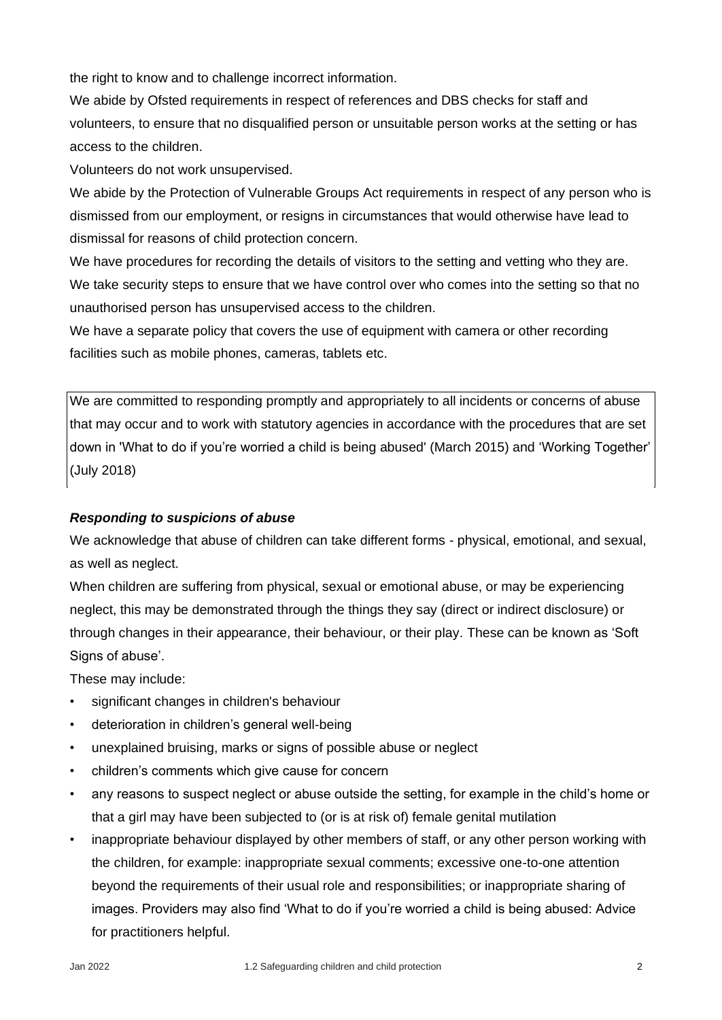the right to know and to challenge incorrect information.

We abide by Ofsted requirements in respect of references and DBS checks for staff and volunteers, to ensure that no disqualified person or unsuitable person works at the setting or has access to the children.

Volunteers do not work unsupervised.

We abide by the Protection of Vulnerable Groups Act requirements in respect of any person who is dismissed from our employment, or resigns in circumstances that would otherwise have lead to dismissal for reasons of child protection concern.

We have procedures for recording the details of visitors to the setting and vetting who they are. We take security steps to ensure that we have control over who comes into the setting so that no unauthorised person has unsupervised access to the children.

We have a separate policy that covers the use of equipment with camera or other recording facilities such as mobile phones, cameras, tablets etc.

We are committed to responding promptly and appropriately to all incidents or concerns of abuse that may occur and to work with statutory agencies in accordance with the procedures that are set down in 'What to do if you're worried a child is being abused' (March 2015) and 'Working Together' (July 2018)

#### *Responding to suspicions of abuse*

We acknowledge that abuse of children can take different forms - physical, emotional, and sexual, as well as neglect.

When children are suffering from physical, sexual or emotional abuse, or may be experiencing neglect, this may be demonstrated through the things they say (direct or indirect disclosure) or through changes in their appearance, their behaviour, or their play. These can be known as 'Soft Signs of abuse'.

These may include:

- significant changes in children's behaviour
- deterioration in children's general well-being
- unexplained bruising, marks or signs of possible abuse or neglect
- children's comments which give cause for concern
- any reasons to suspect neglect or abuse outside the setting, for example in the child's home or that a girl may have been subjected to (or is at risk of) female genital mutilation
- inappropriate behaviour displayed by other members of staff, or any other person working with the children, for example: inappropriate sexual comments; excessive one-to-one attention beyond the requirements of their usual role and responsibilities; or inappropriate sharing of images. Providers may also find 'What to do if you're worried a child is being abused: Advice for practitioners helpful.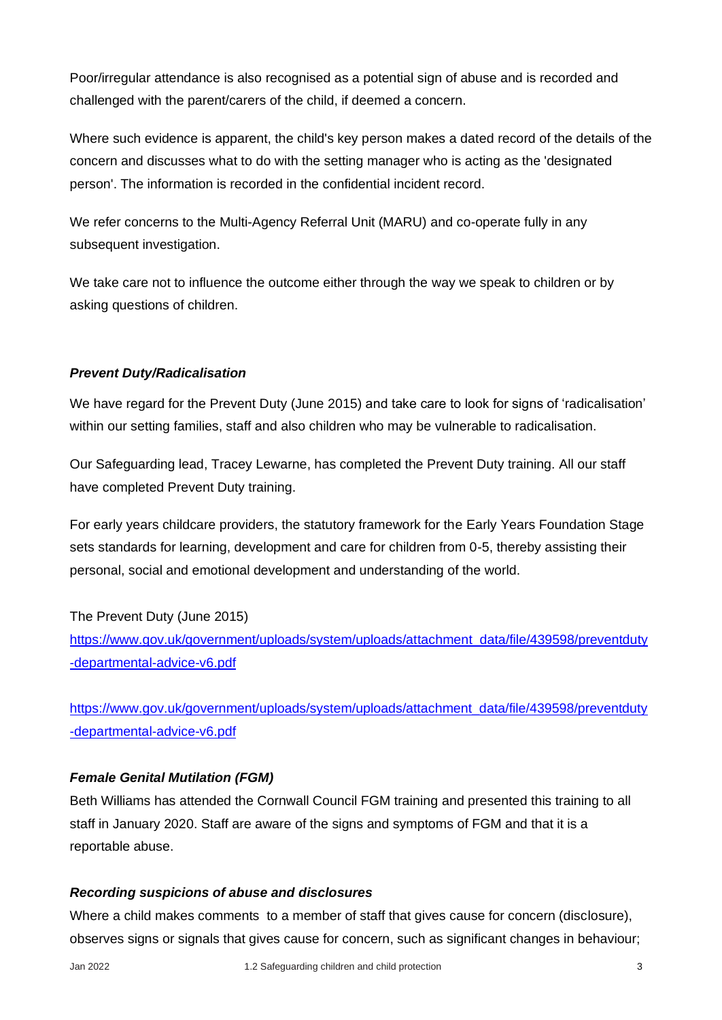Poor/irregular attendance is also recognised as a potential sign of abuse and is recorded and challenged with the parent/carers of the child, if deemed a concern.

Where such evidence is apparent, the child's key person makes a dated record of the details of the concern and discusses what to do with the setting manager who is acting as the 'designated person'. The information is recorded in the confidential incident record.

We refer concerns to the Multi-Agency Referral Unit (MARU) and co-operate fully in any subsequent investigation.

We take care not to influence the outcome either through the way we speak to children or by asking questions of children.

## *Prevent Duty/Radicalisation*

We have regard for the Prevent Duty (June 2015) and take care to look for signs of 'radicalisation' within our setting families, staff and also children who may be vulnerable to radicalisation.

Our Safeguarding lead, Tracey Lewarne, has completed the Prevent Duty training. All our staff have completed Prevent Duty training.

For early years childcare providers, the statutory framework for the Early Years Foundation Stage sets standards for learning, development and care for children from 0-5, thereby assisting their personal, social and emotional development and understanding of the world.

#### The Prevent Duty (June 2015)

[https://www.gov.uk/government/uploads/system/uploads/attachment\\_data/file/439598/preventduty](https://www.gov.uk/government/uploads/system/uploads/attachment_data/file/439598/preventduty-departmental-advice-v6.pdf) [-departmental-advice-v6.pdf](https://www.gov.uk/government/uploads/system/uploads/attachment_data/file/439598/preventduty-departmental-advice-v6.pdf)

[https://www.gov.uk/government/uploads/system/uploads/attachment\\_data/file/439598/preventduty](https://www.gov.uk/government/uploads/system/uploads/attachment_data/file/439598/preventduty-departmental-advice-v6.pdf) [-departmental-advice-v6.pdf](https://www.gov.uk/government/uploads/system/uploads/attachment_data/file/439598/preventduty-departmental-advice-v6.pdf)

# *Female Genital Mutilation (FGM)*

Beth Williams has attended the Cornwall Council FGM training and presented this training to all staff in January 2020. Staff are aware of the signs and symptoms of FGM and that it is a reportable abuse.

#### *Recording suspicions of abuse and disclosures*

Where a child makes comments to a member of staff that gives cause for concern (disclosure), observes signs or signals that gives cause for concern, such as significant changes in behaviour;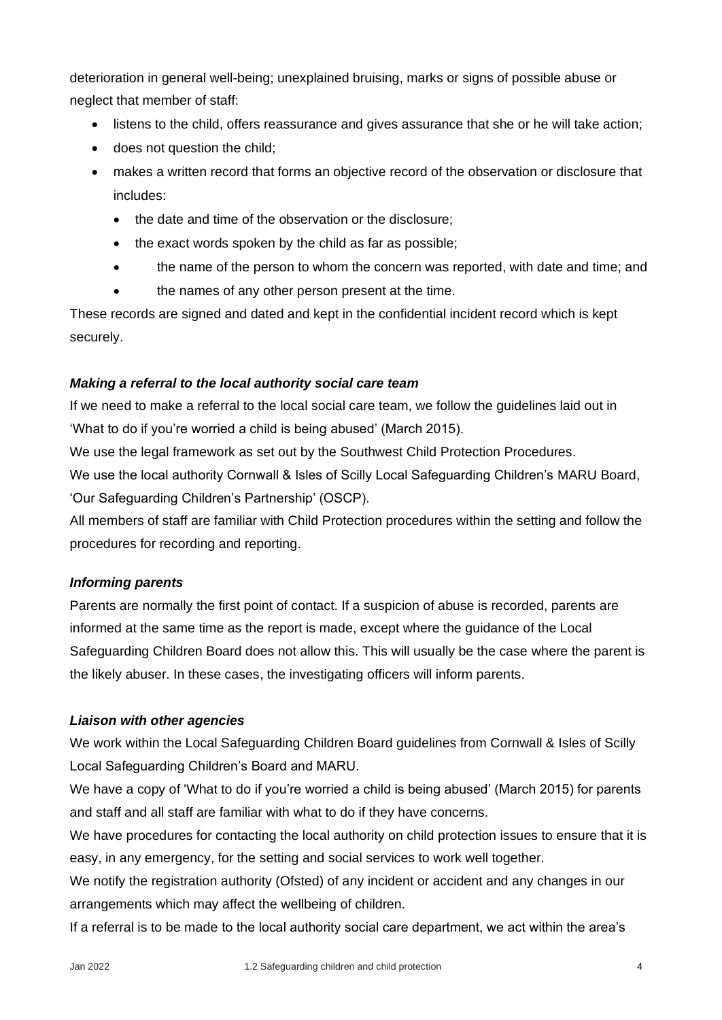deterioration in general well-being; unexplained bruising, marks or signs of possible abuse or neglect that member of staff:

- listens to the child, offers reassurance and gives assurance that she or he will take action;
- does not question the child:
- makes a written record that forms an objective record of the observation or disclosure that includes:
	- the date and time of the observation or the disclosure;
	- the exact words spoken by the child as far as possible;
	- the name of the person to whom the concern was reported, with date and time; and
	- the names of any other person present at the time.

These records are signed and dated and kept in the confidential incident record which is kept securely.

#### *Making a referral to the local authority social care team*

If we need to make a referral to the local social care team, we follow the guidelines laid out in 'What to do if you're worried a child is being abused' (March 2015).

We use the legal framework as set out by the Southwest Child Protection Procedures.

We use the local authority Cornwall & Isles of Scilly Local Safeguarding Children's MARU Board, 'Our Safeguarding Children's Partnership' (OSCP).

All members of staff are familiar with Child Protection procedures within the setting and follow the procedures for recording and reporting.

#### *Informing parents*

Parents are normally the first point of contact. If a suspicion of abuse is recorded, parents are informed at the same time as the report is made, except where the guidance of the Local Safeguarding Children Board does not allow this. This will usually be the case where the parent is the likely abuser. In these cases, the investigating officers will inform parents.

#### *Liaison with other agencies*

We work within the Local Safeguarding Children Board guidelines from Cornwall & Isles of Scilly Local Safeguarding Children's Board and MARU.

We have a copy of 'What to do if you're worried a child is being abused' (March 2015) for parents and staff and all staff are familiar with what to do if they have concerns.

We have procedures for contacting the local authority on child protection issues to ensure that it is easy, in any emergency, for the setting and social services to work well together.

We notify the registration authority (Ofsted) of any incident or accident and any changes in our arrangements which may affect the wellbeing of children.

If a referral is to be made to the local authority social care department, we act within the area's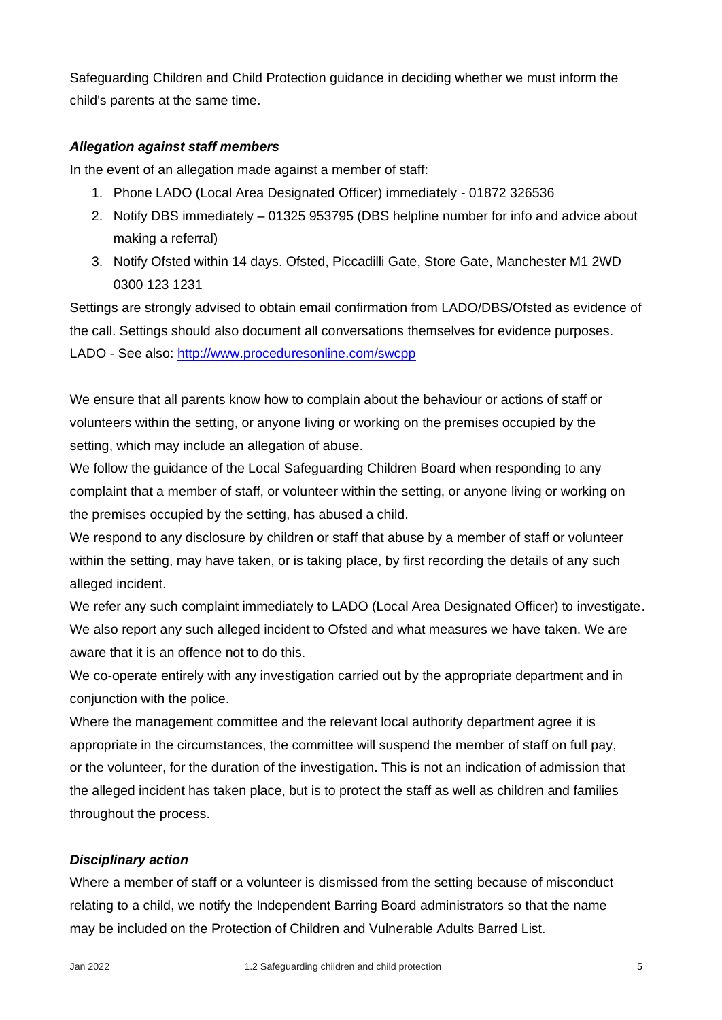Safeguarding Children and Child Protection guidance in deciding whether we must inform the child's parents at the same time.

#### *Allegation against staff members*

In the event of an allegation made against a member of staff:

- 1. Phone LADO (Local Area Designated Officer) immediately 01872 326536
- 2. Notify DBS immediately 01325 953795 (DBS helpline number for info and advice about making a referral)
- 3. Notify Ofsted within 14 days. Ofsted, Piccadilli Gate, Store Gate, Manchester M1 2WD 0300 123 1231

Settings are strongly advised to obtain email confirmation from LADO/DBS/Ofsted as evidence of the call. Settings should also document all conversations themselves for evidence purposes. LADO - See also: <http://www.proceduresonline.com/swcpp>

We ensure that all parents know how to complain about the behaviour or actions of staff or volunteers within the setting, or anyone living or working on the premises occupied by the setting, which may include an allegation of abuse.

We follow the guidance of the Local Safeguarding Children Board when responding to any complaint that a member of staff, or volunteer within the setting, or anyone living or working on the premises occupied by the setting, has abused a child.

We respond to any disclosure by children or staff that abuse by a member of staff or volunteer within the setting, may have taken, or is taking place, by first recording the details of any such alleged incident.

We refer any such complaint immediately to LADO (Local Area Designated Officer) to investigate. We also report any such alleged incident to Ofsted and what measures we have taken. We are aware that it is an offence not to do this.

We co-operate entirely with any investigation carried out by the appropriate department and in conjunction with the police.

Where the management committee and the relevant local authority department agree it is appropriate in the circumstances, the committee will suspend the member of staff on full pay, or the volunteer, for the duration of the investigation. This is not an indication of admission that the alleged incident has taken place, but is to protect the staff as well as children and families throughout the process.

#### *Disciplinary action*

Where a member of staff or a volunteer is dismissed from the setting because of misconduct relating to a child, we notify the Independent Barring Board administrators so that the name may be included on the Protection of Children and Vulnerable Adults Barred List.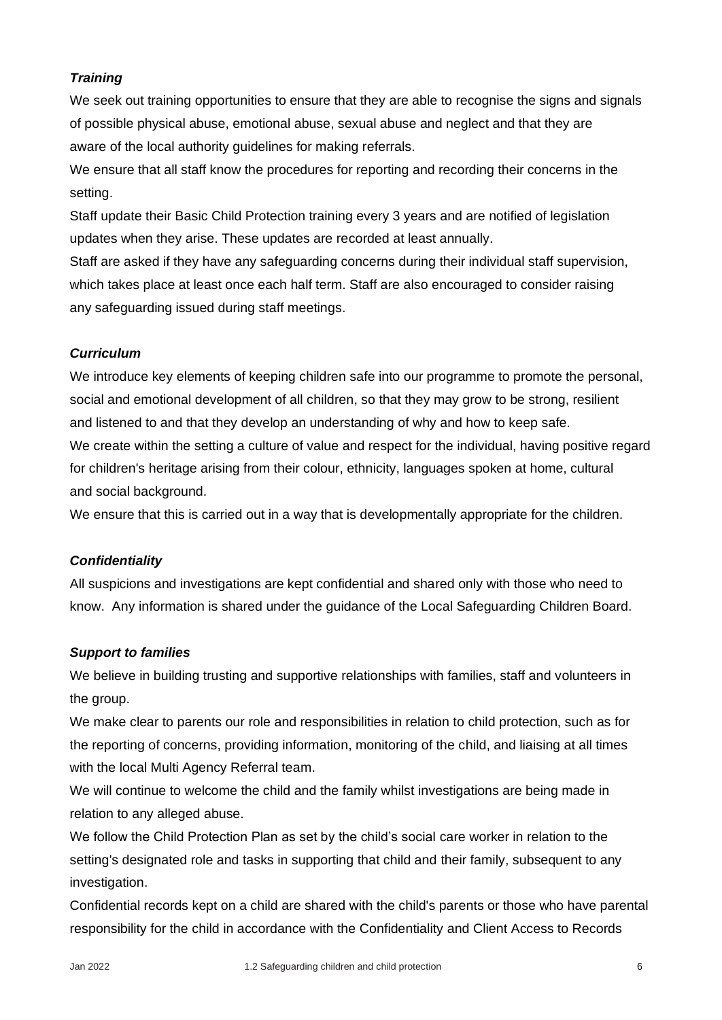## *Training*

We seek out training opportunities to ensure that they are able to recognise the signs and signals of possible physical abuse, emotional abuse, sexual abuse and neglect and that they are aware of the local authority guidelines for making referrals.

We ensure that all staff know the procedures for reporting and recording their concerns in the setting.

Staff update their Basic Child Protection training every 3 years and are notified of legislation updates when they arise. These updates are recorded at least annually.

Staff are asked if they have any safeguarding concerns during their individual staff supervision, which takes place at least once each half term. Staff are also encouraged to consider raising any safeguarding issued during staff meetings.

#### *Curriculum*

We introduce key elements of keeping children safe into our programme to promote the personal, social and emotional development of all children, so that they may grow to be strong, resilient and listened to and that they develop an understanding of why and how to keep safe. We create within the setting a culture of value and respect for the individual, having positive regard for children's heritage arising from their colour, ethnicity, languages spoken at home, cultural and social background.

We ensure that this is carried out in a way that is developmentally appropriate for the children.

#### *Confidentiality*

All suspicions and investigations are kept confidential and shared only with those who need to know. Any information is shared under the guidance of the Local Safeguarding Children Board.

#### *Support to families*

We believe in building trusting and supportive relationships with families, staff and volunteers in the group.

We make clear to parents our role and responsibilities in relation to child protection, such as for the reporting of concerns, providing information, monitoring of the child, and liaising at all times with the local Multi Agency Referral team.

We will continue to welcome the child and the family whilst investigations are being made in relation to any alleged abuse.

We follow the Child Protection Plan as set by the child's social care worker in relation to the setting's designated role and tasks in supporting that child and their family, subsequent to any investigation.

Confidential records kept on a child are shared with the child's parents or those who have parental responsibility for the child in accordance with the Confidentiality and Client Access to Records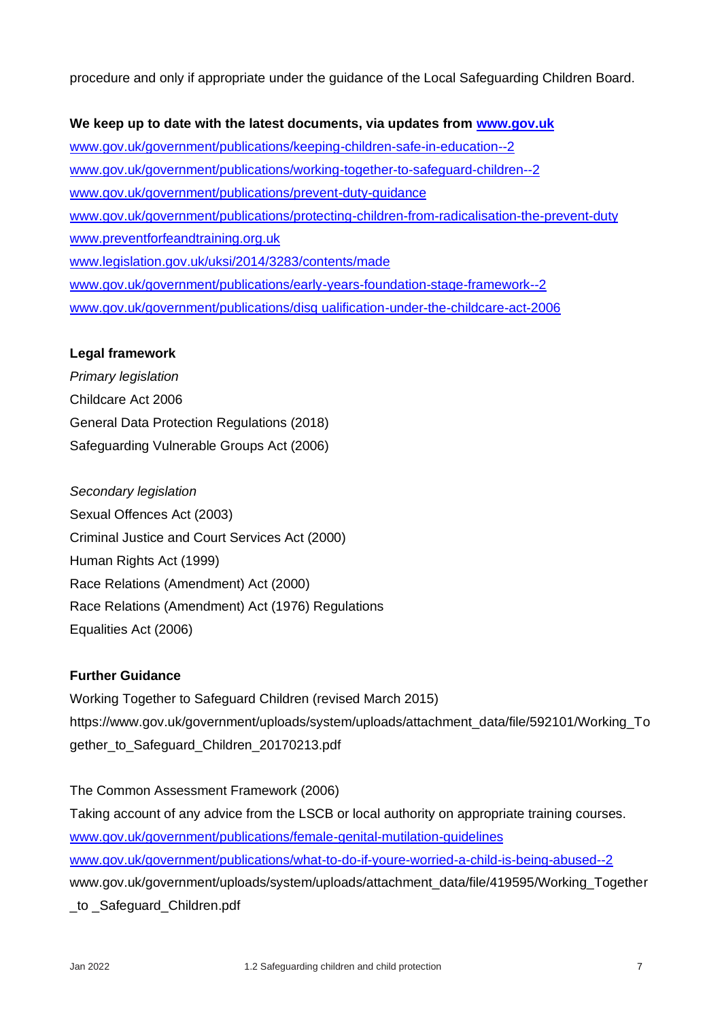procedure and only if appropriate under the guidance of the Local Safeguarding Children Board.

# **We keep up to date with the latest documents, via updates from [www.gov.uk](http://www.gov.uk/)**

[www.gov.uk/government/publications/keeping-children-safe-in-education--2](http://www.gov.uk/government/publications/keeping-children-safe-in-education--2) [www.gov.uk/government/publications/working-together-to-safeguard-children--2](http://www.gov.uk/government/publications/working-together-to-safeguard-children--2) [www.gov.uk/government/publications/prevent-duty-guidance](http://www.gov.uk/government/publications/prevent-duty-guidance) [www.gov.uk/government/publications/protecting-children-from-radicalisation-the-prevent-duty](http://www.gov.uk/government/publications/protecting-children-from-radicalisation-the-prevent-duty) [www.preventforfeandtraining.org.uk](http://www.preventforfeandtraining.org.uk/) [www.legislation.gov.uk/uksi/2014/3283/contents/made](http://www.legislation.gov.uk/uksi/2014/3283/contents/made) [www.gov.uk/government/publications/early-years-foundation-stage-framework--2](http://www.gov.uk/government/publications/early-years-foundation-stage-framework--2) [www.gov.uk/government/publications/disq ualification-under-the-childcare-act-2006](file:///E:/Preschool%20Committee%20Folder/1Secretary%20files%20for%20Jo/Policies/2017-2018%20Policies/www.gov.uk/government/publications/disq%20ualification-under-the-childcare-act-2006)

## **Legal framework**

*Primary legislation* Childcare Act 2006 General Data Protection Regulations (2018) Safeguarding Vulnerable Groups Act (2006)

*Secondary legislation* Sexual Offences Act (2003) Criminal Justice and Court Services Act (2000) Human Rights Act (1999) Race Relations (Amendment) Act (2000) Race Relations (Amendment) Act (1976) Regulations Equalities Act (2006)

#### **Further Guidance**

Working Together to Safeguard Children (revised March 2015) https://www.gov.uk/government/uploads/system/uploads/attachment\_data/file/592101/Working\_To gether\_to\_Safeguard\_Children\_20170213.pdf

The Common Assessment Framework (2006) Taking account of any advice from the LSCB or local authority on appropriate training courses. [www.gov.uk/government/publications/female-genital-mutilation-guidelines](http://www.gov.uk/government/publications/female-genital-mutilation-guidelines) [www.gov.uk/government/publications/what-to-do-if-youre-worried-a-child-is-being-abused--2](http://www.gov.uk/government/publications/what-to-do-if-youre-worried-a-child-is-being-abused--2) www.gov.uk/government/uploads/system/uploads/attachment\_data/file/419595/Working\_Together \_to \_Safeguard\_Children.pdf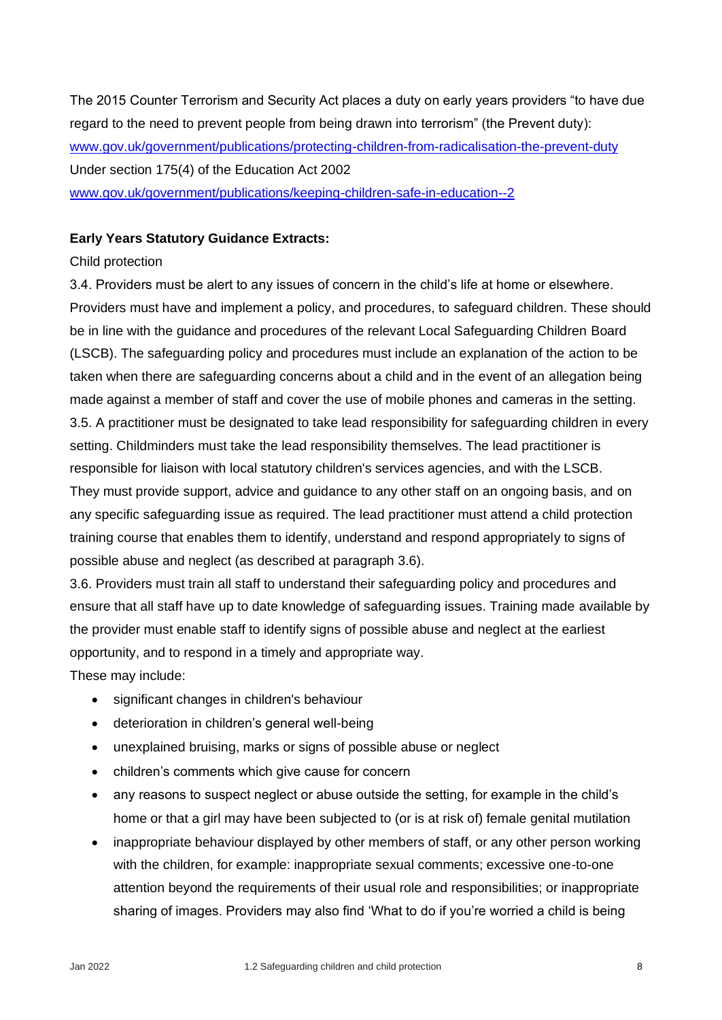The 2015 Counter Terrorism and Security Act places a duty on early years providers "to have due regard to the need to prevent people from being drawn into terrorism" (the Prevent duty): [www.gov.uk/government/publications/protecting-children-from-radicalisation-the-prevent-duty](http://www.gov.uk/government/publications/protecting-children-from-radicalisation-the-prevent-duty) Under section 175(4) of the Education Act 2002 [www.gov.uk/government/publications/keeping-children-safe-in-education--2](http://www.gov.uk/government/publications/keeping-children-safe-in-education--2)

#### **Early Years Statutory Guidance Extracts:**

#### Child protection

3.4. Providers must be alert to any issues of concern in the child's life at home or elsewhere. Providers must have and implement a policy, and procedures, to safeguard children. These should be in line with the guidance and procedures of the relevant Local Safeguarding Children Board (LSCB). The safeguarding policy and procedures must include an explanation of the action to be taken when there are safeguarding concerns about a child and in the event of an allegation being made against a member of staff and cover the use of mobile phones and cameras in the setting. 3.5. A practitioner must be designated to take lead responsibility for safeguarding children in every setting. Childminders must take the lead responsibility themselves. The lead practitioner is responsible for liaison with local statutory children's services agencies, and with the LSCB. They must provide support, advice and guidance to any other staff on an ongoing basis, and on any specific safeguarding issue as required. The lead practitioner must attend a child protection training course that enables them to identify, understand and respond appropriately to signs of

possible abuse and neglect (as described at paragraph 3.6).

3.6. Providers must train all staff to understand their safeguarding policy and procedures and ensure that all staff have up to date knowledge of safeguarding issues. Training made available by the provider must enable staff to identify signs of possible abuse and neglect at the earliest opportunity, and to respond in a timely and appropriate way.

These may include:

- significant changes in children's behaviour
- deterioration in children's general well-being
- unexplained bruising, marks or signs of possible abuse or neglect
- children's comments which give cause for concern
- any reasons to suspect neglect or abuse outside the setting, for example in the child's home or that a girl may have been subjected to (or is at risk of) female genital mutilation
- inappropriate behaviour displayed by other members of staff, or any other person working with the children, for example: inappropriate sexual comments; excessive one-to-one attention beyond the requirements of their usual role and responsibilities; or inappropriate sharing of images. Providers may also find 'What to do if you're worried a child is being